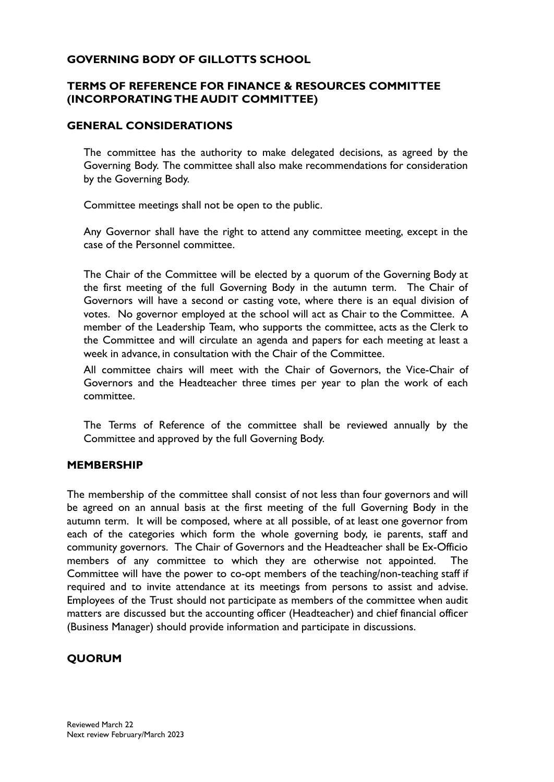## **GOVERNING BODY OF GILLOTTS SCHOOL**

## **TERMS OF REFERENCE FOR FINANCE & RESOURCES COMMITTEE (INCORPORATING THE AUDIT COMMITTEE)**

#### **GENERAL CONSIDERATIONS**

The committee has the authority to make delegated decisions, as agreed by the Governing Body. The committee shall also make recommendations for consideration by the Governing Body.

Committee meetings shall not be open to the public.

Any Governor shall have the right to attend any committee meeting, except in the case of the Personnel committee.

The Chair of the Committee will be elected by a quorum of the Governing Body at the first meeting of the full Governing Body in the autumn term. The Chair of Governors will have a second or casting vote, where there is an equal division of votes. No governor employed at the school will act as Chair to the Committee. A member of the Leadership Team, who supports the committee, acts as the Clerk to the Committee and will circulate an agenda and papers for each meeting at least a week in advance, in consultation with the Chair of the Committee.

All committee chairs will meet with the Chair of Governors, the Vice-Chair of Governors and the Headteacher three times per year to plan the work of each committee.

The Terms of Reference of the committee shall be reviewed annually by the Committee and approved by the full Governing Body.

#### **MEMBERSHIP**

The membership of the committee shall consist of not less than four governors and will be agreed on an annual basis at the first meeting of the full Governing Body in the autumn term. It will be composed, where at all possible, of at least one governor from each of the categories which form the whole governing body, ie parents, staff and community governors. The Chair of Governors and the Headteacher shall be Ex-Officio members of any committee to which they are otherwise not appointed. Committee will have the power to co-opt members of the teaching/non-teaching staff if required and to invite attendance at its meetings from persons to assist and advise. Employees of the Trust should not participate as members of the committee when audit matters are discussed but the accounting officer (Headteacher) and chief financial officer (Business Manager) should provide information and participate in discussions.

## **QUORUM**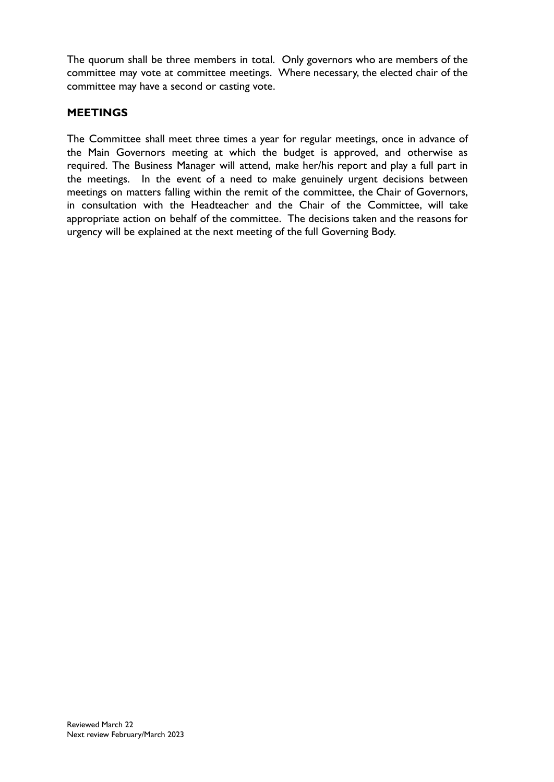The quorum shall be three members in total. Only governors who are members of the committee may vote at committee meetings. Where necessary, the elected chair of the committee may have a second or casting vote.

#### **MEETINGS**

The Committee shall meet three times a year for regular meetings, once in advance of the Main Governors meeting at which the budget is approved, and otherwise as required. The Business Manager will attend, make her/his report and play a full part in the meetings. In the event of a need to make genuinely urgent decisions between meetings on matters falling within the remit of the committee, the Chair of Governors, in consultation with the Headteacher and the Chair of the Committee, will take appropriate action on behalf of the committee. The decisions taken and the reasons for urgency will be explained at the next meeting of the full Governing Body.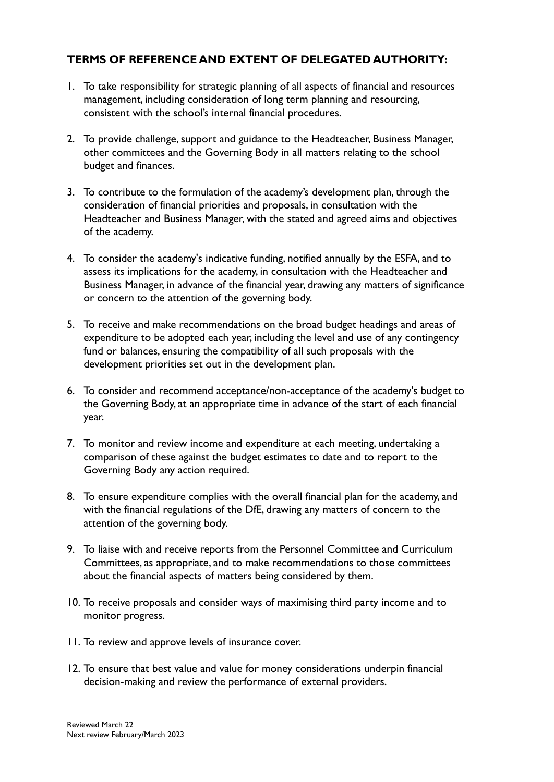## **TERMS OF REFERENCE AND EXTENT OF DELEGATED AUTHORITY:**

- 1. To take responsibility for strategic planning of all aspects of financial and resources management, including consideration of long term planning and resourcing, consistent with the school's internal financial procedures.
- 2. To provide challenge, support and guidance to the Headteacher, Business Manager, other committees and the Governing Body in all matters relating to the school budget and finances.
- 3. To contribute to the formulation of the academy's development plan, through the consideration of financial priorities and proposals, in consultation with the Headteacher and Business Manager, with the stated and agreed aims and objectives of the academy.
- 4. To consider the academy's indicative funding, notified annually by the ESFA, and to assess its implications for the academy, in consultation with the Headteacher and Business Manager, in advance of the financial year, drawing any matters of significance or concern to the attention of the governing body.
- 5. To receive and make recommendations on the broad budget headings and areas of expenditure to be adopted each year, including the level and use of any contingency fund or balances, ensuring the compatibility of all such proposals with the development priorities set out in the development plan.
- 6. To consider and recommend acceptance/non-acceptance of the academy's budget to the Governing Body, at an appropriate time in advance of the start of each financial year.
- 7. To monitor and review income and expenditure at each meeting, undertaking a comparison of these against the budget estimates to date and to report to the Governing Body any action required.
- 8. To ensure expenditure complies with the overall financial plan for the academy, and with the financial regulations of the DfE, drawing any matters of concern to the attention of the governing body.
- 9. To liaise with and receive reports from the Personnel Committee and Curriculum Committees, as appropriate, and to make recommendations to those committees about the financial aspects of matters being considered by them.
- 10. To receive proposals and consider ways of maximising third party income and to monitor progress.
- 11. To review and approve levels of insurance cover.
- 12. To ensure that best value and value for money considerations underpin financial decision-making and review the performance of external providers.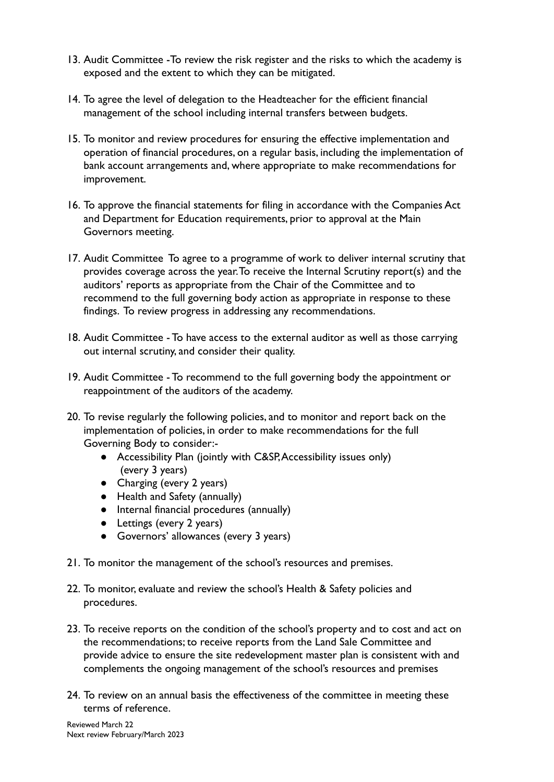- 13. Audit Committee -To review the risk register and the risks to which the academy is exposed and the extent to which they can be mitigated.
- 14. To agree the level of delegation to the Headteacher for the efficient financial management of the school including internal transfers between budgets.
- 15. To monitor and review procedures for ensuring the effective implementation and operation of financial procedures, on a regular basis, including the implementation of bank account arrangements and, where appropriate to make recommendations for improvement.
- 16. To approve the financial statements for filing in accordance with the Companies Act and Department for Education requirements, prior to approval at the Main Governors meeting.
- 17. Audit Committee To agree to a programme of work to deliver internal scrutiny that provides coverage across the year.To receive the Internal Scrutiny report(s) and the auditors' reports as appropriate from the Chair of the Committee and to recommend to the full governing body action as appropriate in response to these findings. To review progress in addressing any recommendations.
- 18. Audit Committee To have access to the external auditor as well as those carrying out internal scrutiny, and consider their quality.
- 19. Audit Committee To recommend to the full governing body the appointment or reappointment of the auditors of the academy.
- 20. To revise regularly the following policies, and to monitor and report back on the implementation of policies, in order to make recommendations for the full Governing Body to consider:-
	- Accessibility Plan (jointly with C&SP,Accessibility issues only) (every 3 years)
	- Charging (every 2 years)
	- Health and Safety (annually)
	- Internal financial procedures (annually)
	- Lettings (every 2 years)
	- Governors' allowances (every 3 years)
- 21. To monitor the management of the school's resources and premises.
- 22. To monitor, evaluate and review the school's Health & Safety policies and procedures.
- 23. To receive reports on the condition of the school's property and to cost and act on the recommendations; to receive reports from the Land Sale Committee and provide advice to ensure the site redevelopment master plan is consistent with and complements the ongoing management of the school's resources and premises
- 24. To review on an annual basis the effectiveness of the committee in meeting these terms of reference.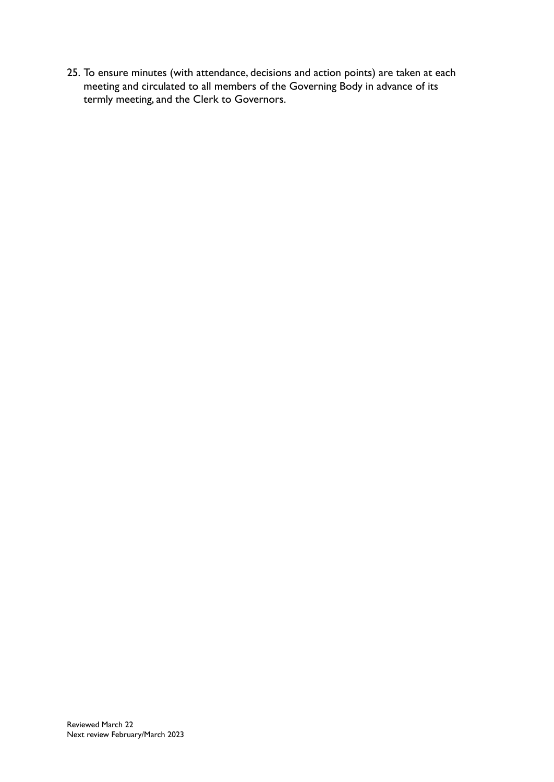25. To ensure minutes (with attendance, decisions and action points) are taken at each meeting and circulated to all members of the Governing Body in advance of its termly meeting, and the Clerk to Governors.